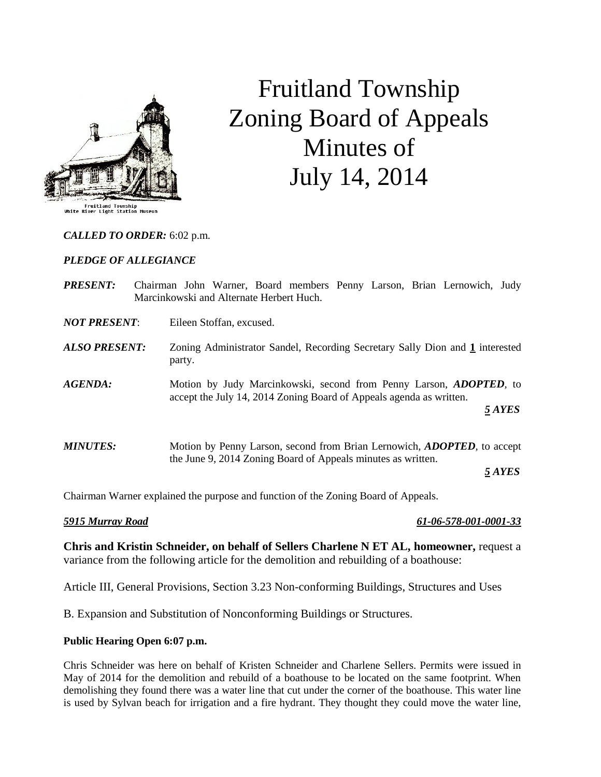

# Fruitland Township Zoning Board of Appeals Minutes of July 14, 2014

*CALLED TO ORDER:* 6:02 p.m.

### *PLEDGE OF ALLEGIANCE*

- *PRESENT:* Chairman John Warner, Board members Penny Larson, Brian Lernowich, Judy Marcinkowski and Alternate Herbert Huch.
- *NOT PRESENT*: Eileen Stoffan, excused.
- *ALSO PRESENT:* Zoning Administrator Sandel, Recording Secretary Sally Dion and **1** interested party.
- *AGENDA:* Motion by Judy Marcinkowski, second from Penny Larson, *ADOPTED,* to accept the July 14, 2014 Zoning Board of Appeals agenda as written. *5 AYES*
- *MINUTES:* Motion by Penny Larson, second from Brian Lernowich, *ADOPTED,* to accept the June 9, 2014 Zoning Board of Appeals minutes as written.

*5 AYES*

Chairman Warner explained the purpose and function of the Zoning Board of Appeals.

*5915 Murray Road 61-06-578-001-0001-33*

**Chris and Kristin Schneider, on behalf of Sellers Charlene N ET AL, homeowner,** request a variance from the following article for the demolition and rebuilding of a boathouse:

Article III, General Provisions, Section 3.23 Non-conforming Buildings, Structures and Uses

B. Expansion and Substitution of Nonconforming Buildings or Structures.

### **Public Hearing Open 6:07 p.m.**

Chris Schneider was here on behalf of Kristen Schneider and Charlene Sellers. Permits were issued in May of 2014 for the demolition and rebuild of a boathouse to be located on the same footprint. When demolishing they found there was a water line that cut under the corner of the boathouse. This water line is used by Sylvan beach for irrigation and a fire hydrant. They thought they could move the water line,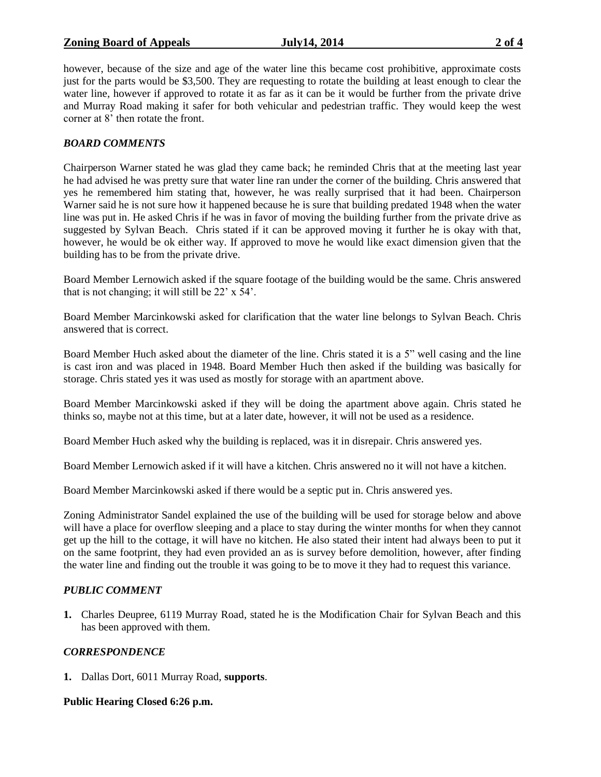### **Zoning Board of Appeals July14, 2014 2 of 4**

however, because of the size and age of the water line this became cost prohibitive, approximate costs just for the parts would be \$3,500. They are requesting to rotate the building at least enough to clear the water line, however if approved to rotate it as far as it can be it would be further from the private drive and Murray Road making it safer for both vehicular and pedestrian traffic. They would keep the west corner at 8' then rotate the front.

# *BOARD COMMENTS*

Chairperson Warner stated he was glad they came back; he reminded Chris that at the meeting last year he had advised he was pretty sure that water line ran under the corner of the building. Chris answered that yes he remembered him stating that, however, he was really surprised that it had been. Chairperson Warner said he is not sure how it happened because he is sure that building predated 1948 when the water line was put in. He asked Chris if he was in favor of moving the building further from the private drive as suggested by Sylvan Beach. Chris stated if it can be approved moving it further he is okay with that, however, he would be ok either way. If approved to move he would like exact dimension given that the building has to be from the private drive.

Board Member Lernowich asked if the square footage of the building would be the same. Chris answered that is not changing; it will still be 22' x 54'.

Board Member Marcinkowski asked for clarification that the water line belongs to Sylvan Beach. Chris answered that is correct.

Board Member Huch asked about the diameter of the line. Chris stated it is a 5" well casing and the line is cast iron and was placed in 1948. Board Member Huch then asked if the building was basically for storage. Chris stated yes it was used as mostly for storage with an apartment above.

Board Member Marcinkowski asked if they will be doing the apartment above again. Chris stated he thinks so, maybe not at this time, but at a later date, however, it will not be used as a residence.

Board Member Huch asked why the building is replaced, was it in disrepair. Chris answered yes.

Board Member Lernowich asked if it will have a kitchen. Chris answered no it will not have a kitchen.

Board Member Marcinkowski asked if there would be a septic put in. Chris answered yes.

Zoning Administrator Sandel explained the use of the building will be used for storage below and above will have a place for overflow sleeping and a place to stay during the winter months for when they cannot get up the hill to the cottage, it will have no kitchen. He also stated their intent had always been to put it on the same footprint, they had even provided an as is survey before demolition, however, after finding the water line and finding out the trouble it was going to be to move it they had to request this variance.

## *PUBLIC COMMENT*

**1.** Charles Deupree, 6119 Murray Road, stated he is the Modification Chair for Sylvan Beach and this has been approved with them.

## *CORRESPONDENCE*

**1.** Dallas Dort, 6011 Murray Road, **supports**.

**Public Hearing Closed 6:26 p.m.**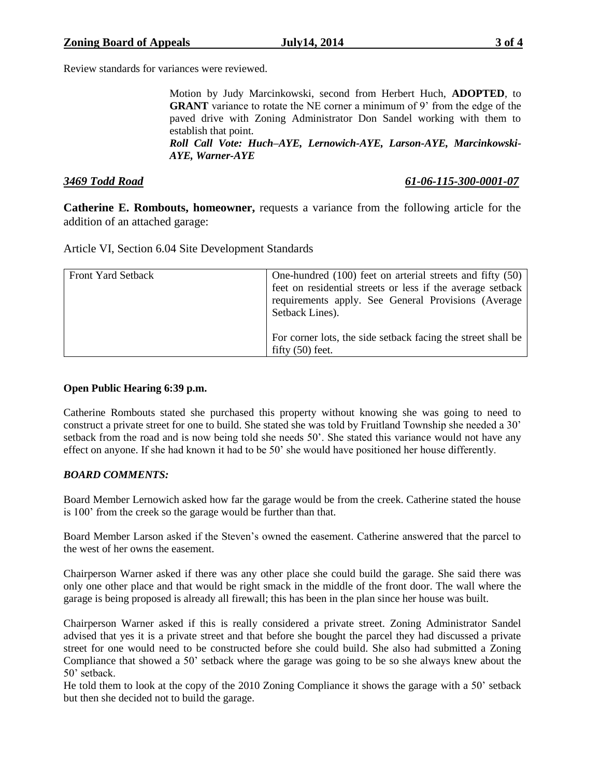Review standards for variances were reviewed.

Motion by Judy Marcinkowski, second from Herbert Huch, **ADOPTED**, to **GRANT** variance to rotate the NE corner a minimum of 9' from the edge of the paved drive with Zoning Administrator Don Sandel working with them to establish that point.

*Roll Call Vote: Huch–AYE, Lernowich-AYE, Larson-AYE, Marcinkowski-AYE, Warner-AYE*

## *3469 Todd Road 61-06-115-300-0001-07*

**Catherine E. Rombouts, homeowner,** requests a variance from the following article for the addition of an attached garage:

Article VI, Section 6.04 Site Development Standards

| <b>Front Yard Setback</b> | One-hundred (100) feet on arterial streets and fifty (50)<br>feet on residential streets or less if the average setback<br>requirements apply. See General Provisions (Average<br>Setback Lines). |
|---------------------------|---------------------------------------------------------------------------------------------------------------------------------------------------------------------------------------------------|
|                           | For corner lots, the side set back facing the street shall be<br>fifty $(50)$ feet.                                                                                                               |

### **Open Public Hearing 6:39 p.m.**

Catherine Rombouts stated she purchased this property without knowing she was going to need to construct a private street for one to build. She stated she was told by Fruitland Township she needed a 30' setback from the road and is now being told she needs 50'. She stated this variance would not have any effect on anyone. If she had known it had to be 50' she would have positioned her house differently.

## *BOARD COMMENTS:*

Board Member Lernowich asked how far the garage would be from the creek. Catherine stated the house is 100' from the creek so the garage would be further than that.

Board Member Larson asked if the Steven's owned the easement. Catherine answered that the parcel to the west of her owns the easement.

Chairperson Warner asked if there was any other place she could build the garage. She said there was only one other place and that would be right smack in the middle of the front door. The wall where the garage is being proposed is already all firewall; this has been in the plan since her house was built.

Chairperson Warner asked if this is really considered a private street. Zoning Administrator Sandel advised that yes it is a private street and that before she bought the parcel they had discussed a private street for one would need to be constructed before she could build. She also had submitted a Zoning Compliance that showed a 50' setback where the garage was going to be so she always knew about the 50' setback.

He told them to look at the copy of the 2010 Zoning Compliance it shows the garage with a 50' setback but then she decided not to build the garage.